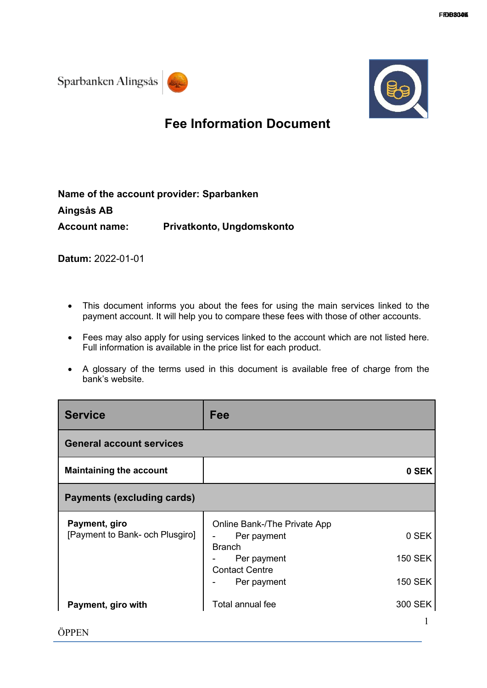



## **Fee Information Document**

| Name of the account provider: Sparbanken |                           |
|------------------------------------------|---------------------------|
| Aingsås AB                               |                           |
| <b>Account name:</b>                     | Privatkonto, Ungdomskonto |

**Datum:** 2022-01-01

- This document informs you about the fees for using the main services linked to the payment account. It will help you to compare these fees with those of other accounts.
- Fees may also apply for using services linked to the account which are not listed here. Full information is available in the price list for each product.
- A glossary of the terms used in this document is available free of charge from the bank's website.

| <b>Service</b>                                   | Fee                                                                                                                 |                                           |
|--------------------------------------------------|---------------------------------------------------------------------------------------------------------------------|-------------------------------------------|
| <b>General account services</b>                  |                                                                                                                     |                                           |
| <b>Maintaining the account</b>                   |                                                                                                                     | 0 SEK                                     |
| <b>Payments (excluding cards)</b>                |                                                                                                                     |                                           |
| Payment, giro<br>[Payment to Bank- och Plusgiro] | Online Bank-/The Private App<br>Per payment<br><b>Branch</b><br>Per payment<br><b>Contact Centre</b><br>Per payment | 0 SEK<br><b>150 SEK</b><br><b>150 SEK</b> |
| Payment, giro with                               | Total annual fee                                                                                                    | 300 SEK<br>1                              |

1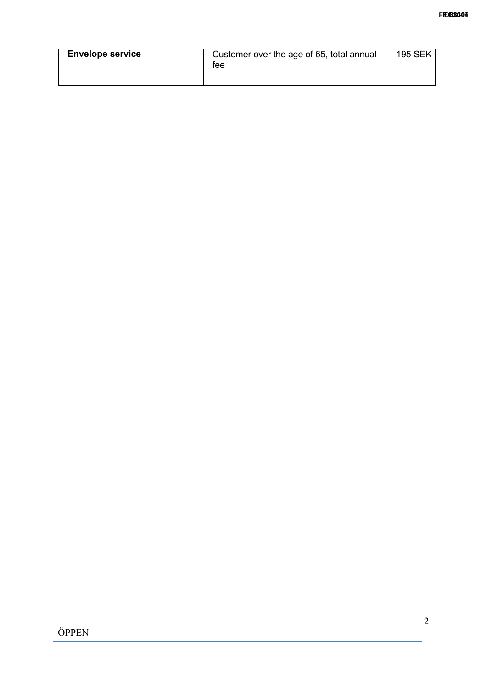|  | <b>Envelope service</b><br>tee | Customer over the age of 65, total annual<br>195 SEK |
|--|--------------------------------|------------------------------------------------------|
|--|--------------------------------|------------------------------------------------------|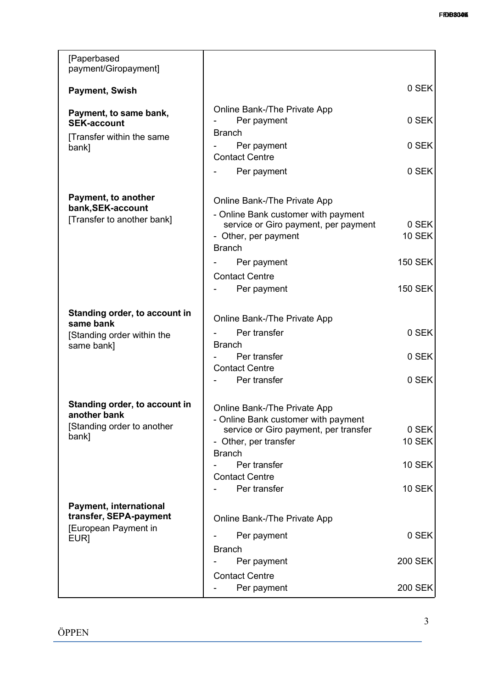| [Paperbased<br>payment/Giropayment]                                       |                                                                                                                      |                        |
|---------------------------------------------------------------------------|----------------------------------------------------------------------------------------------------------------------|------------------------|
| <b>Payment, Swish</b>                                                     |                                                                                                                      | 0 SEK                  |
| Payment, to same bank,<br><b>SEK-account</b><br>[Transfer within the same | Online Bank-/The Private App<br>Per payment<br><b>Branch</b>                                                         | 0 SEK                  |
| bank]                                                                     | Per payment<br><b>Contact Centre</b>                                                                                 | 0 SEK                  |
|                                                                           | Per payment                                                                                                          | 0 SEK                  |
| Payment, to another                                                       | Online Bank-/The Private App                                                                                         |                        |
| bank, SEK-account<br>[Transfer to another bank]                           | - Online Bank customer with payment<br>service or Giro payment, per payment<br>- Other, per payment<br><b>Branch</b> | 0 SEK<br><b>10 SEK</b> |
|                                                                           | Per payment                                                                                                          | <b>150 SEK</b>         |
|                                                                           | <b>Contact Centre</b>                                                                                                |                        |
|                                                                           | Per payment                                                                                                          | <b>150 SEK</b>         |
| Standing order, to account in<br>same bank                                | Online Bank-/The Private App                                                                                         |                        |
| [Standing order within the                                                | Per transfer                                                                                                         | 0 SEK                  |
| same bank]                                                                | <b>Branch</b>                                                                                                        |                        |
|                                                                           | Per transfer<br><b>Contact Centre</b>                                                                                | 0 SEK                  |
|                                                                           | Per transfer                                                                                                         | 0 SEK                  |
| Standing order, to account in<br>another bank                             | Online Bank-/The Private App<br>- Online Bank customer with payment                                                  |                        |
| [Standing order to another                                                | service or Giro payment, per transfer                                                                                | 0 SEK                  |
| bank]                                                                     | - Other, per transfer                                                                                                | <b>10 SEK</b>          |
|                                                                           | <b>Branch</b><br>Per transfer                                                                                        | <b>10 SEK</b>          |
|                                                                           | <b>Contact Centre</b>                                                                                                |                        |
|                                                                           | Per transfer                                                                                                         | <b>10 SEK</b>          |
| <b>Payment, international</b><br>transfer, SEPA-payment                   | Online Bank-/The Private App                                                                                         |                        |
| [European Payment in<br>EUR]                                              | Per payment                                                                                                          | 0 SEK                  |
|                                                                           | <b>Branch</b>                                                                                                        |                        |
|                                                                           | Per payment                                                                                                          | <b>200 SEK</b>         |
|                                                                           | <b>Contact Centre</b>                                                                                                |                        |
|                                                                           | Per payment                                                                                                          | <b>200 SEK</b>         |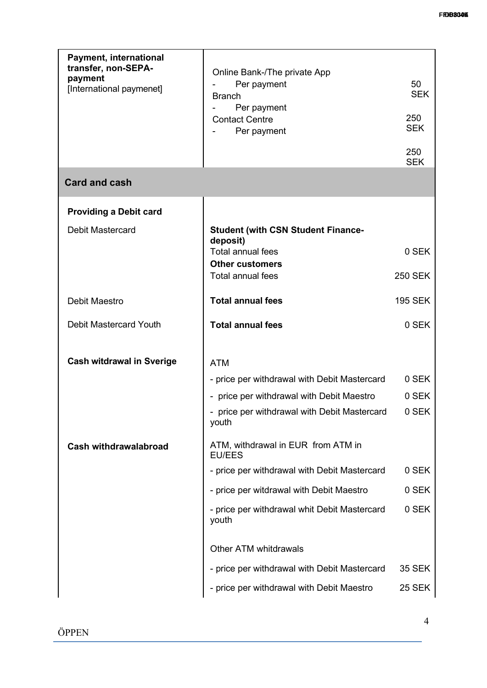| <b>Payment, international</b><br>transfer, non-SEPA-<br>payment<br>[International paymenet] | Online Bank-/The private App<br>Per payment<br><b>Branch</b><br>Per payment<br><b>Contact Centre</b><br>Per payment                                                                                    | 50<br><b>SEK</b><br>250<br><b>SEK</b> |
|---------------------------------------------------------------------------------------------|--------------------------------------------------------------------------------------------------------------------------------------------------------------------------------------------------------|---------------------------------------|
|                                                                                             |                                                                                                                                                                                                        | 250<br><b>SEK</b>                     |
| <b>Card and cash</b>                                                                        |                                                                                                                                                                                                        |                                       |
| <b>Providing a Debit card</b>                                                               |                                                                                                                                                                                                        |                                       |
| <b>Debit Mastercard</b>                                                                     | <b>Student (with CSN Student Finance-</b><br>deposit)                                                                                                                                                  |                                       |
|                                                                                             | <b>Total annual fees</b>                                                                                                                                                                               | 0 SEK                                 |
|                                                                                             | <b>Other customers</b><br><b>Total annual fees</b>                                                                                                                                                     | <b>250 SEK</b>                        |
| Debit Maestro                                                                               | <b>Total annual fees</b>                                                                                                                                                                               | <b>195 SEK</b>                        |
| <b>Debit Mastercard Youth</b>                                                               | <b>Total annual fees</b>                                                                                                                                                                               | 0 SEK                                 |
| <b>Cash witdrawal in Sverige</b><br><b>Cash withdrawalabroad</b>                            | <b>ATM</b><br>- price per withdrawal with Debit Mastercard<br>- price per withdrawal with Debit Maestro<br>- price per withdrawal with Debit Mastercard<br>youth<br>ATM, withdrawal in EUR from ATM in | 0 SEK<br>0 SEK<br>0 SEK               |
|                                                                                             | <b>EU/EES</b>                                                                                                                                                                                          |                                       |
|                                                                                             | - price per withdrawal with Debit Mastercard                                                                                                                                                           | 0 SEK                                 |
|                                                                                             | - price per witdrawal with Debit Maestro<br>- price per withdrawal whit Debit Mastercard<br>youth                                                                                                      | 0 SEK<br>0 SEK                        |
|                                                                                             | <b>Other ATM whitdrawals</b>                                                                                                                                                                           |                                       |
|                                                                                             | - price per withdrawal with Debit Mastercard                                                                                                                                                           | <b>35 SEK</b>                         |
|                                                                                             | - price per withdrawal with Debit Maestro                                                                                                                                                              | <b>25 SEK</b>                         |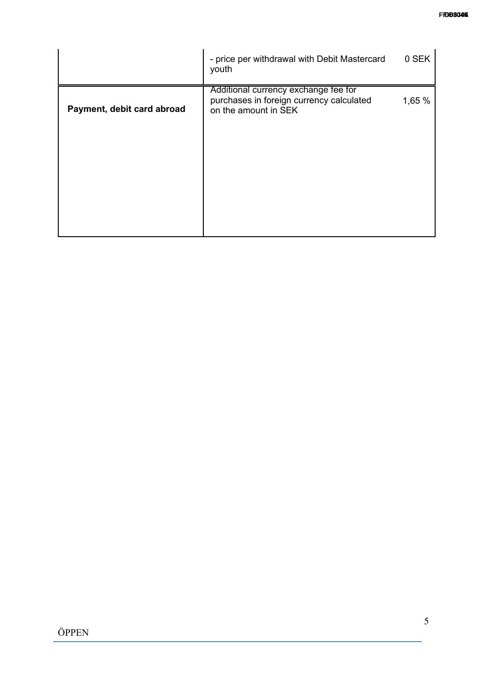|                            | - price per withdrawal with Debit Mastercard<br>youth                                                    | 0 SEK  |
|----------------------------|----------------------------------------------------------------------------------------------------------|--------|
| Payment, debit card abroad | Additional currency exchange fee for<br>purchases in foreign currency calculated<br>on the amount in SEK | 1,65 % |
|                            |                                                                                                          |        |
|                            |                                                                                                          |        |
|                            |                                                                                                          |        |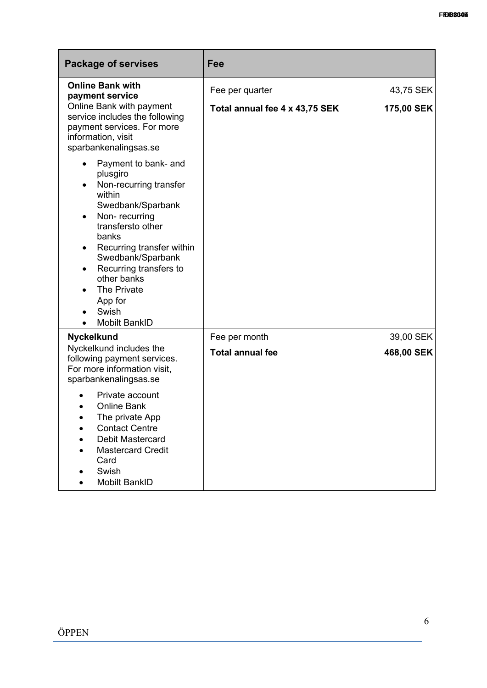| <b>Package of servises</b>                                                                                                                                                                                                                                                                                                                 | Fee                            |            |
|--------------------------------------------------------------------------------------------------------------------------------------------------------------------------------------------------------------------------------------------------------------------------------------------------------------------------------------------|--------------------------------|------------|
| <b>Online Bank with</b><br>payment service                                                                                                                                                                                                                                                                                                 | Fee per quarter                | 43,75 SEK  |
| Online Bank with payment<br>service includes the following<br>payment services. For more<br>information, visit<br>sparbankenalingsas.se                                                                                                                                                                                                    | Total annual fee 4 x 43,75 SEK | 175,00 SEK |
| Payment to bank- and<br>plusgiro<br>Non-recurring transfer<br>$\bullet$<br>within<br>Swedbank/Sparbank<br>Non-recurring<br>$\bullet$<br>transfersto other<br>banks<br>Recurring transfer within<br>٠<br>Swedbank/Sparbank<br>Recurring transfers to<br>$\bullet$<br>other banks<br>The Private<br>App for<br>Swish<br><b>Mobilt BankID</b> |                                |            |
| <b>Nyckelkund</b>                                                                                                                                                                                                                                                                                                                          | Fee per month                  | 39,00 SEK  |
| Nyckelkund includes the<br>following payment services.<br>For more information visit,<br>sparbankenalingsas.se                                                                                                                                                                                                                             | <b>Total annual fee</b>        | 468,00 SEK |
| Private account<br><b>Online Bank</b><br>The private App<br><b>Contact Centre</b><br><b>Debit Mastercard</b><br><b>Mastercard Credit</b><br>Card<br>Swish<br><b>Mobilt BankID</b>                                                                                                                                                          |                                |            |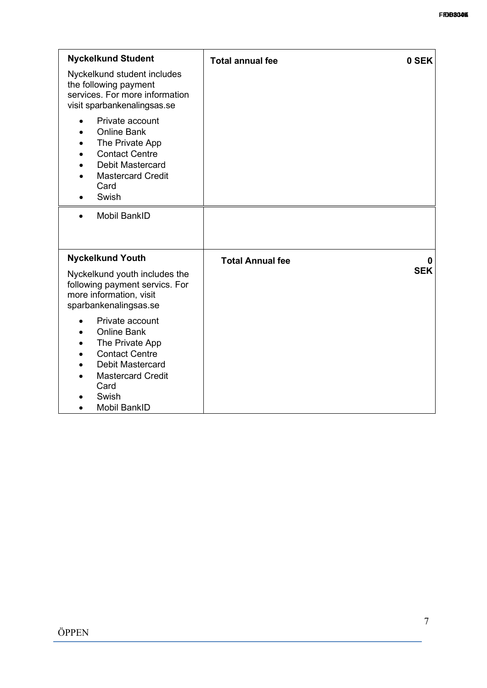| <b>Nyckelkund Student</b>                                                                                                                                                        | <b>Total annual fee</b> | 0 SEK      |
|----------------------------------------------------------------------------------------------------------------------------------------------------------------------------------|-------------------------|------------|
| Nyckelkund student includes<br>the following payment<br>services. For more information<br>visit sparbankenalingsas.se                                                            |                         |            |
| Private account<br><b>Online Bank</b><br>The Private App<br><b>Contact Centre</b><br><b>Debit Mastercard</b><br><b>Mastercard Credit</b><br>Card<br>Swish                        |                         |            |
| <b>Mobil BankID</b><br>$\bullet$                                                                                                                                                 |                         |            |
| <b>Nyckelkund Youth</b>                                                                                                                                                          | <b>Total Annual fee</b> | 0          |
| Nyckelkund youth includes the<br>following payment servics. For<br>more information, visit<br>sparbankenalingsas.se                                                              |                         | <b>SEK</b> |
| Private account<br><b>Online Bank</b><br>The Private App<br><b>Contact Centre</b><br><b>Debit Mastercard</b><br><b>Mastercard Credit</b><br>Card<br>Swish<br><b>Mobil BankID</b> |                         |            |